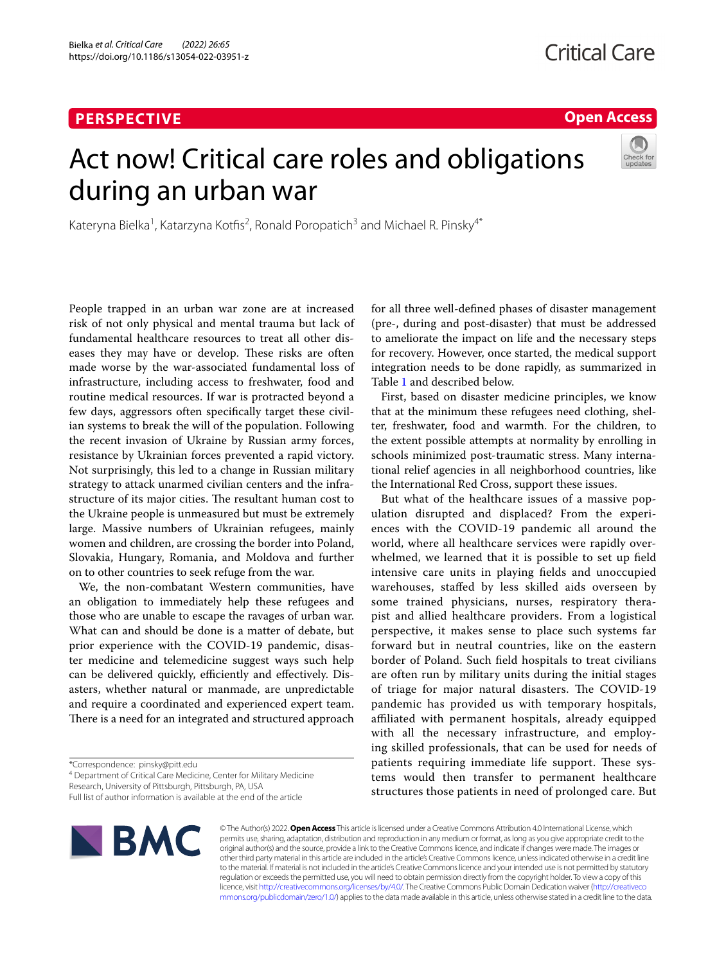## **PERSPECTIVE**

**Open Access**

# Act now! Critical care roles and obligations during an urban war



Kateryna Bielka<sup>1</sup>, Katarzyna Kotfis<sup>2</sup>, Ronald Poropatich<sup>3</sup> and Michael R. Pinsky<sup>4\*</sup>

People trapped in an urban war zone are at increased risk of not only physical and mental trauma but lack of fundamental healthcare resources to treat all other diseases they may have or develop. These risks are often made worse by the war-associated fundamental loss of infrastructure, including access to freshwater, food and routine medical resources. If war is protracted beyond a few days, aggressors often specifcally target these civilian systems to break the will of the population. Following the recent invasion of Ukraine by Russian army forces, resistance by Ukrainian forces prevented a rapid victory. Not surprisingly, this led to a change in Russian military strategy to attack unarmed civilian centers and the infrastructure of its major cities. The resultant human cost to the Ukraine people is unmeasured but must be extremely large. Massive numbers of Ukrainian refugees, mainly women and children, are crossing the border into Poland, Slovakia, Hungary, Romania, and Moldova and further on to other countries to seek refuge from the war.

We, the non-combatant Western communities, have an obligation to immediately help these refugees and those who are unable to escape the ravages of urban war. What can and should be done is a matter of debate, but prior experience with the COVID-19 pandemic, disaster medicine and telemedicine suggest ways such help can be delivered quickly, efficiently and effectively. Disasters, whether natural or manmade, are unpredictable and require a coordinated and experienced expert team. There is a need for an integrated and structured approach

Research, University of Pittsburgh, Pittsburgh, PA, USA

Full list of author information is available at the end of the article



© The Author(s) 2022. **Open Access** This article is licensed under a Creative Commons Attribution 4.0 International License, which permits use, sharing, adaptation, distribution and reproduction in any medium or format, as long as you give appropriate credit to the original author(s) and the source, provide a link to the Creative Commons licence, and indicate if changes were made. The images or other third party material in this article are included in the article's Creative Commons licence, unless indicated otherwise in a credit line to the material. If material is not included in the article's Creative Commons licence and your intended use is not permitted by statutory regulation or exceeds the permitted use, you will need to obtain permission directly from the copyright holder. To view a copy of this licence, visit [http://creativecommons.org/licenses/by/4.0/.](http://creativecommons.org/licenses/by/4.0/) The Creative Commons Public Domain Dedication waiver ([http://creativeco](http://creativecommons.org/publicdomain/zero/1.0/) [mmons.org/publicdomain/zero/1.0/](http://creativecommons.org/publicdomain/zero/1.0/)) applies to the data made available in this article, unless otherwise stated in a credit line to the data.

for all three well-defned phases of disaster management (pre-, during and post-disaster) that must be addressed to ameliorate the impact on life and the necessary steps for recovery. However, once started, the medical support integration needs to be done rapidly, as summarized in Table [1](#page-1-0) and described below.

First, based on disaster medicine principles, we know that at the minimum these refugees need clothing, shelter, freshwater, food and warmth. For the children, to the extent possible attempts at normality by enrolling in schools minimized post-traumatic stress. Many international relief agencies in all neighborhood countries, like the International Red Cross, support these issues.

But what of the healthcare issues of a massive population disrupted and displaced? From the experiences with the COVID-19 pandemic all around the world, where all healthcare services were rapidly overwhelmed, we learned that it is possible to set up feld intensive care units in playing felds and unoccupied warehouses, stafed by less skilled aids overseen by some trained physicians, nurses, respiratory therapist and allied healthcare providers. From a logistical perspective, it makes sense to place such systems far forward but in neutral countries, like on the eastern border of Poland. Such feld hospitals to treat civilians are often run by military units during the initial stages of triage for major natural disasters. The COVID-19 pandemic has provided us with temporary hospitals, affiliated with permanent hospitals, already equipped with all the necessary infrastructure, and employing skilled professionals, that can be used for needs of patients requiring immediate life support. These systems would then transfer to permanent healthcare structures those patients in need of prolonged care. But

<sup>\*</sup>Correspondence: pinsky@pitt.edu

<sup>&</sup>lt;sup>4</sup> Department of Critical Care Medicine, Center for Military Medicine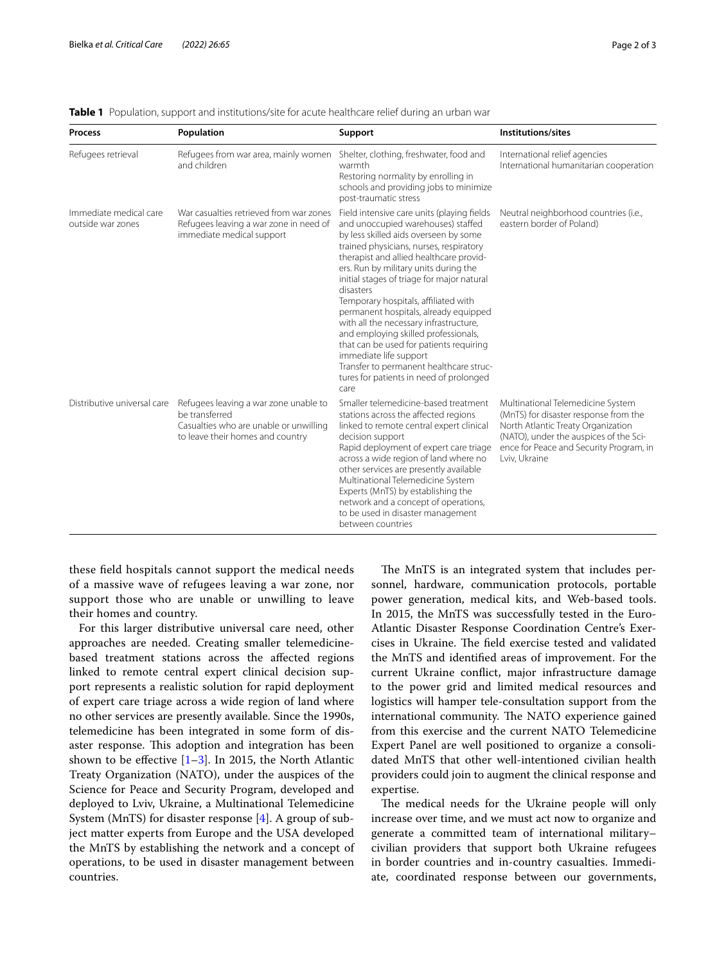| <b>Process</b>                              | Population                                                                                                                            | Support                                                                                                                                                                                                                                                                                                                                                                                                                                                                                                                                                                                                                                                   | Institutions/sites                                                                                                                                                                                                     |
|---------------------------------------------|---------------------------------------------------------------------------------------------------------------------------------------|-----------------------------------------------------------------------------------------------------------------------------------------------------------------------------------------------------------------------------------------------------------------------------------------------------------------------------------------------------------------------------------------------------------------------------------------------------------------------------------------------------------------------------------------------------------------------------------------------------------------------------------------------------------|------------------------------------------------------------------------------------------------------------------------------------------------------------------------------------------------------------------------|
| Refugees retrieval                          | Refugees from war area, mainly women<br>and children                                                                                  | Shelter, clothing, freshwater, food and<br>warmth<br>Restoring normality by enrolling in<br>schools and providing jobs to minimize<br>post-traumatic stress                                                                                                                                                                                                                                                                                                                                                                                                                                                                                               | International relief agencies<br>International humanitarian cooperation                                                                                                                                                |
| Immediate medical care<br>outside war zones | War casualties retrieved from war zones<br>Refugees leaving a war zone in need of<br>immediate medical support                        | Field intensive care units (playing fields<br>and unoccupied warehouses) staffed<br>by less skilled aids overseen by some<br>trained physicians, nurses, respiratory<br>therapist and allied healthcare provid-<br>ers. Run by military units during the<br>initial stages of triage for major natural<br>disasters<br>Temporary hospitals, affiliated with<br>permanent hospitals, already equipped<br>with all the necessary infrastructure,<br>and employing skilled professionals,<br>that can be used for patients requiring<br>immediate life support<br>Transfer to permanent healthcare struc-<br>tures for patients in need of prolonged<br>care | Neutral neighborhood countries (i.e.,<br>eastern border of Poland)                                                                                                                                                     |
| Distributive universal care                 | Refugees leaving a war zone unable to<br>be transferred<br>Casualties who are unable or unwilling<br>to leave their homes and country | Smaller telemedicine-based treatment<br>stations across the affected regions<br>linked to remote central expert clinical<br>decision support<br>Rapid deployment of expert care triage<br>across a wide region of land where no<br>other services are presently available<br>Multinational Telemedicine System<br>Experts (MnTS) by establishing the<br>network and a concept of operations,<br>to be used in disaster management<br>between countries                                                                                                                                                                                                    | Multinational Telemedicine System<br>(MnTS) for disaster response from the<br>North Atlantic Treaty Organization<br>(NATO), under the auspices of the Sci-<br>ence for Peace and Security Program, in<br>Lviv, Ukraine |

<span id="page-1-0"></span>

|  |  |  |  |  | Table 1 Population, support and institutions/site for acute healthcare relief during an urban war |  |
|--|--|--|--|--|---------------------------------------------------------------------------------------------------|--|
|--|--|--|--|--|---------------------------------------------------------------------------------------------------|--|

these feld hospitals cannot support the medical needs of a massive wave of refugees leaving a war zone, nor support those who are unable or unwilling to leave their homes and country.

For this larger distributive universal care need, other approaches are needed. Creating smaller telemedicinebased treatment stations across the afected regions linked to remote central expert clinical decision support represents a realistic solution for rapid deployment of expert care triage across a wide region of land where no other services are presently available. Since the 1990s, telemedicine has been integrated in some form of disaster response. This adoption and integration has been shown to be effective  $[1-3]$  $[1-3]$ . In 2015, the North Atlantic Treaty Organization (NATO), under the auspices of the Science for Peace and Security Program, developed and deployed to Lviv, Ukraine, a Multinational Telemedicine System (MnTS) for disaster response [[4\]](#page-2-2). A group of subject matter experts from Europe and the USA developed the MnTS by establishing the network and a concept of operations, to be used in disaster management between countries.

The MnTS is an integrated system that includes personnel, hardware, communication protocols, portable power generation, medical kits, and Web-based tools. In 2015, the MnTS was successfully tested in the Euro-Atlantic Disaster Response Coordination Centre's Exercises in Ukraine. The field exercise tested and validated the MnTS and identifed areas of improvement. For the current Ukraine confict, major infrastructure damage to the power grid and limited medical resources and logistics will hamper tele-consultation support from the international community. The NATO experience gained from this exercise and the current NATO Telemedicine Expert Panel are well positioned to organize a consolidated MnTS that other well-intentioned civilian health providers could join to augment the clinical response and expertise.

The medical needs for the Ukraine people will only increase over time, and we must act now to organize and generate a committed team of international military– civilian providers that support both Ukraine refugees in border countries and in-country casualties. Immediate, coordinated response between our governments,